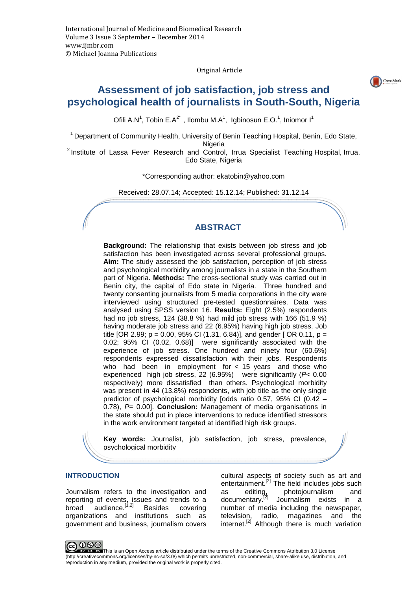Original Article

CrossMark

# **Assessment of job satisfaction, job stress and psychological health of journalists in South-South, Nigeria**

Ofili A.N<sup>1</sup>, Tobin E.A<sup>2\*</sup>, Ilombu M.A<sup>1</sup>, Igbinosun E.O.<sup>1</sup>, Iniomor I<sup>1</sup>

<sup>1</sup> Department of Community Health, University of Benin Teaching Hospital, Benin, Edo State,

Nigeria

<sup>2</sup> Institute of Lassa Fever Research and Control, Irrua Specialist Teaching Hospital, Irrua, Edo State, Nigeria

\*Corresponding author: ekatobin@yahoo.com

Received: 28.07.14; Accepted: 15.12.14; Published: 31.12.14

# **ABSTRACT**

**Background:** The relationship that exists between job stress and job satisfaction has been investigated across several professional groups. **Aim:** The study assessed the job satisfaction, perception of job stress and psychological morbidity among journalists in a state in the Southern part of Nigeria. **Methods:** The cross-sectional study was carried out in Benin city, the capital of Edo state in Nigeria. Three hundred and twenty consenting journalists from 5 media corporations in the city were interviewed using structured pre-tested questionnaires. Data was analysed using SPSS version 16. **Results:** Eight (2.5%) respondents had no job stress, 124 (38.8 %) had mild job stress with 166 (51.9 %) having moderate job stress and 22 (6.95%) having high job stress. Job title [OR 2.99; p = 0.00, 95% CI (1.31, 6.84)], and gender [OR 0.11, p = 0.02; 95% CI (0.02, 0.68)] were significantly associated with the experience of job stress. One hundred and ninety four (60.6%) respondents expressed dissatisfaction with their jobs. Respondents who had been in employment for < 15 years and those who experienced high job stress, 22 (6.95%) were significantly (P< 0.00 respectively) more dissatisfied than others. Psychological morbidity was present in 44 (13.8%) respondents, with job title as the only single predictor of psychological morbidity [odds ratio 0.57, 95% CI (0.42 – 0.78), P= 0.00]. **Conclusion:** Management of media organisations in the state should put in place interventions to reduce identified stressors in the work environment targeted at identified high risk groups.

**Key words:** Journalist, job satisfaction, job stress, prevalence, psychological morbidity

#### **INTRODUCTION**

Journalism refers to the investigation and reporting of events, issues and trends to a broad audience.<sup>[1,2]</sup> Besides covering organizations and institutions such as government and business, journalism covers

cultural aspects of society such as art and entertainment.<sup>[2]</sup> The field includes jobs such as editing, photojournalism and documentary.<sup>[2]</sup> Journalism exists in a Journalism exists in a number of media including the newspaper, television, radio, magazines and the internet.<sup>[2]</sup> Although there is much variation



This is an Open Access article distributed under the terms of the Creative Commons Attribution 3.0 License (http://creativecommons.org/licenses/by-nc-sa/3.0/) which permits unrestricted, non-commercial, share-alike use, distribution, and reproduction in any medium, provided the original work is properly cited.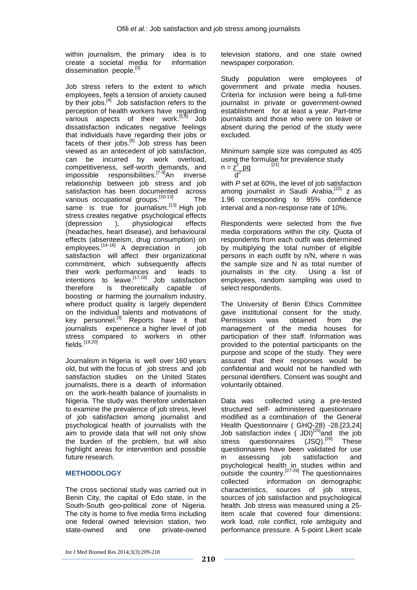within journalism, the primary idea is to create a societal media for information dissemination people.<sup>[3]</sup>

Job stress refers to the extent to which employees, feels a tension of anxiety caused by their jobs. $^{[4]}$  Job satisfaction refers to the perception of health workers have regarding various aspects of their work.<sup>[5,6]</sup> Job dissatisfaction indicates negative feelings that individuals have regarding their jobs or facets of their jobs. $^{[6]}$  Job stress has been viewed as an antecedent of job satisfaction, can be incurred by work overload, competitiveness, self-worth demands, and impossible responsibilities.<sup>[7-9]</sup>An inverse relationship between job stress and job satisfaction has been documented across various occupational groups.<sup>[10-13]</sup> The same is true for journalism.<sup>[13]</sup> High job stress creates negative psychological effects (depression ), physiological effects (headaches, heart disease), and behavioural effects (absenteeism, drug consumption) on employees. $\left[14-16\right]$  A depreciation in job satisfaction will affect their organizational commitment, which subsequently affects their work performances and leads to intentions to leave.<sup>[17,18]</sup> Job satisfaction<br>therefore is theoretically capable of therefore is theoretically capable of boosting or harming the journalism industry, where product quality is largely dependent on the individual talents and motivations of key personnel.<sup>[3]</sup> Reports have it that journalists experience a higher level of job stress compared to workers in other fields.<sup>[19,20]</sup>

Journalism in Nigeria is well over 160 years old, but with the focus of job stress and job satisfaction studies on the United States journalists, there is a dearth of information on the work-health balance of journalists in Nigeria. The study was therefore undertaken to examine the prevalence of job stress, level of job satisfaction among journalist and psychological health of journalists with the aim to provide data that will not only show the burden of the problem, but will also highlight areas for intervention and possible future research.

### **METHODOLOGY**

The cross sectional study was carried out in Benin City, the capital of Edo state, in the South-South geo-political zone of Nigeria. The city is home to five media firms including one federal owned television station, two state-owned and one private-owned television stations, and one state owned newspaper corporation.

Study population were employees of government and private media houses. Criteria for inclusion were being a full-time journalist in private or government-owned establishment for at least a year. Part-time journalists and those who were on leave or absent during the period of the study were excluded.

Minimum sample size was computed as 405 using the formulae for prevalence study  $n = \frac{z^2}{2}$  pq [21]  $d^2$ 

with P set at 60%, the level of job satisfaction among journalist in Saudi Arabia,<sup>[22]</sup> z as 1.96 corresponding to 95% confidence interval and a non-response rate of 10%.

Respondents were selected from the five media corporations within the city. Quota of respondents from each outfit was determined by multiplying the total number of eligible persons in each outfit by n/N, where n was the sample size and N as total number of journalists in the city. Using a list of employees, random sampling was used to select respondents.

The University of Benin Ethics Committee gave institutional consent for the study. Permission was obtained from the management of the media houses for participation of their staff. Information was provided to the potential participants on the purpose and scope of the study. They were assured that their responses would be confidential and would not be handled with personal identifiers. Consent was sought and voluntarily obtained.

Data was collected using a pre-tested structured self- administered questionnaire modified as a combination of the General Health Questionnaire ( GHQ-28) -28.[23,24] Job satisfaction index ( JDI)<sup>[25]</sup>and the job<br>stress questionnaires (JSQ).<sup>[26]</sup> These stress questionnaires  $(JSQ)^{[26]}$  These questionnaires have been validated for use in assessing job satisfaction and psychological health in studies within and outside the country.[27-29] The questionnaires collected information on demographic characteristics, sources of job stress, sources of job satisfaction and psychological health. Job stress was measured using a 25 item scale that covered four dimensions: work load, role conflict, role ambiguity and performance pressure. A 5-point Likert scale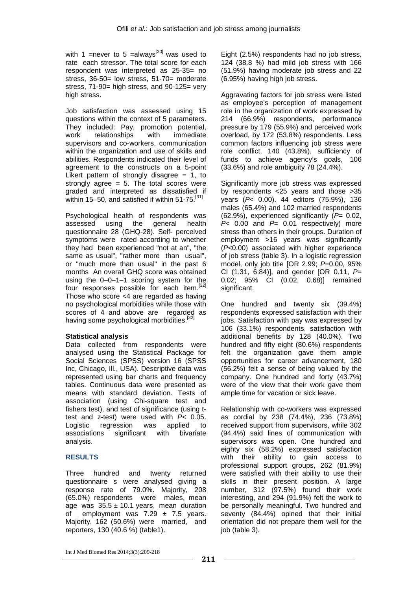with 1 = never to 5 = always<sup>[30]</sup> was used to rate each stressor. The total score for each respondent was interpreted as 25-35= no stress, 36-50= low stress, 51-70= moderate stress, 71-90= high stress, and 90-125= very high stress.

Job satisfaction was assessed using 15 questions within the context of 5 parameters. They included: Pay, promotion potential, work relationships with immediate supervisors and co-workers, communication within the organization and use of skills and abilities. Respondents indicated their level of agreement to the constructs on a 5-point Likert pattern of strongly disagree  $= 1$ , to strongly agree  $= 5$ . The total scores were graded and interpreted as dissatisfied if within 15–50, and satisfied if within 51-75.<sup>[31]</sup>

Psychological health of respondents was assessed using the general health questionnaire 28 (GHQ-28). Self- perceived symptoms were rated according to whether they had been experienced "not at an", "the same as usual", "rather more than usual", or "much more than usual" in the past 6 months An overall GHQ score was obtained using the 0–0–1–1 scoring system for the four responses possible for each item.[32] Those who score <4 are regarded as having no psychological morbidities while those with scores of 4 and above are regarded as having some psychological morbidities.<sup>[32]</sup>

### **Statistical analysis**

Data collected from respondents were analysed using the Statistical Package for Social Sciences (SPSS) version 16 (SPSS Inc, Chicago, Ill., USA). Descriptive data was represented using bar charts and frequency tables. Continuous data were presented as means with standard deviation. Tests of association (using Chi-square test and fishers test), and test of significance (using ttest and z-test) were used with P< 0.05. Logistic regression was applied to associations significant with bivariate analysis.

## **RESULTS**

Three hundred and twenty returned questionnaire s were analysed giving a response rate of 79.0%. Majority, 208 (65.0%) respondents were males, mean age was  $35.5 \pm 10.1$  years, mean duration of employment was  $7.29 \pm 7.5$  years. Majority, 162 (50.6%) were married, and reporters, 130 (40.6 %) (table1).

Eight (2.5%) respondents had no job stress, 124 (38.8 %) had mild job stress with 166 (51.9%) having moderate job stress and 22 (6.95%) having high job stress.

Aggravating factors for job stress were listed as employee's perception of management role in the organization of work expressed by 214 (66.9%) respondents, performance pressure by 179 (55.9%) and perceived work overload, by 172 (53.8%) respondents. Less common factors influencing job stress were role conflict, 140 (43.8%), sufficiency of funds to achieve agency's goals, 106 (33.6%) and role ambiguity 78 (24.4%).

Significantly more job stress was expressed by respondents <25 years and those >35 years (P< 0.00). 44 editors (75.9%), 136 males (65.4%) and 102 married respondents (62.9%), experienced significantly ( $P= 0.02$ ,  $P<sub>0.00</sub>$  and  $P= 0.01$  respectively) more stress than others in their groups. Duration of employment >16 years was significantly (P<0.00) associated with higher experience of job stress (table 3). In a logistic regression model, only job title  $[OR 2.99; P=0.00, 95%$ CI (1.31, 6.84)], and gender [OR 0.11,  $P=$ 0.02; 95% CI (0.02, 0.68)] remained significant.

One hundred and twenty six (39.4%) respondents expressed satisfaction with their jobs. Satisfaction with pay was expressed by 106 (33.1%) respondents, satisfaction with additional benefits by 128 (40.0%). Two hundred and fifty eight (80.6%) respondents felt the organization gave them ample opportunities for career advancement, 180 (56.2%) felt a sense of being valued by the company. One hundred and forty (43.7%) were of the view that their work gave them ample time for vacation or sick leave.

Relationship with co-workers was expressed as cordial by 238 (74.4%), 236 (73.8%) received support from supervisors, while 302 (94.4%) said lines of communication with supervisors was open. One hundred and eighty six (58.2%) expressed satisfaction with their ability to gain access to professional support groups, 262 (81.9%) were satisfied with their ability to use their skills in their present position. A large number, 312 (97.5%) found their work interesting, and 294 (91.9%) felt the work to be personally meaningful. Two hundred and seventy (84.4%) opined that their initial orientation did not prepare them well for the job (table 3).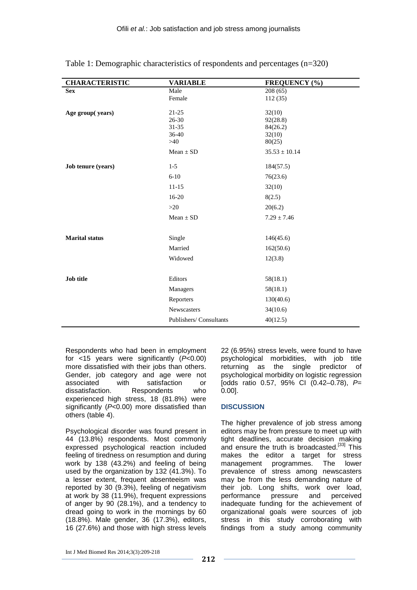| <b>CHARACTERISTIC</b> | <b>VARIABLE</b>        | <b>FREQUENCY</b> (%) |
|-----------------------|------------------------|----------------------|
| <b>Sex</b>            | Male                   | 208(65)              |
|                       | Female                 | 112(35)              |
|                       | $21 - 25$              | 32(10)               |
| Age group(years)      | $26 - 30$              | 92(28.8)             |
|                       | $31 - 35$              | 84(26.2)             |
|                       | 36-40                  | 32(10)               |
|                       | >40                    | 80(25)               |
|                       | $Mean \pm SD$          | $35.53 \pm 10.14$    |
| Job tenure (years)    | $1-5$                  | 184(57.5)            |
|                       | $6 - 10$               | 76(23.6)             |
|                       | $11 - 15$              | 32(10)               |
|                       | $16-20$                | 8(2.5)               |
|                       | >20                    | 20(6.2)              |
|                       | $Mean \pm SD$          | $7.29 \pm 7.46$      |
|                       |                        |                      |
| <b>Marital status</b> | Single                 | 146(45.6)            |
|                       | Married                | 162(50.6)            |
|                       | Widowed                | 12(3.8)              |
|                       |                        |                      |
| <b>Job title</b>      | Editors                | 58(18.1)             |
|                       | Managers               | 58(18.1)             |
|                       | Reporters              | 130(40.6)            |
|                       | Newscasters            | 34(10.6)             |
|                       | Publishers/Consultants | 40(12.5)             |

Table 1: Demographic characteristics of respondents and percentages (n=320)

Respondents who had been in employment for <15 years were significantly (P<0.00) more dissatisfied with their jobs than others. Gender, job category and age were not associated with satisfaction or dissatisfaction. Respondents who experienced high stress, 18 (81.8%) were significantly (P<0.00) more dissatisfied than others (table 4).

Psychological disorder was found present in 44 (13.8%) respondents. Most commonly expressed psychological reaction included feeling of tiredness on resumption and during work by 138 (43.2%) and feeling of being used by the organization by 132 (41.3%). To a lesser extent, frequent absenteeism was reported by 30 (9.3%), feeling of negativism at work by 38 (11.9%), frequent expressions of anger by 90 (28.1%), and a tendency to dread going to work in the mornings by 60 (18.8%). Male gender, 36 (17.3%), editors, 16 (27.6%) and those with high stress levels 22 (6.95%) stress levels, were found to have psychological morbidities, with job title returning as the single predictor of psychological morbidity on logistic regression [odds ratio 0.57, 95% CI (0.42–0.78),  $P=$ 0.00].

## **DISCUSSION**

The higher prevalence of job stress among editors may be from pressure to meet up with tight deadlines, accurate decision making and ensure the truth is broadcasted.<sup>[33]</sup> This makes the editor a target for stress management programmes. The lower prevalence of stress among newscasters may be from the less demanding nature of their job. Long shifts, work over load, performance pressure and perceived inadequate funding for the achievement of organizational goals were sources of job stress in this study corroborating with findings from a study among community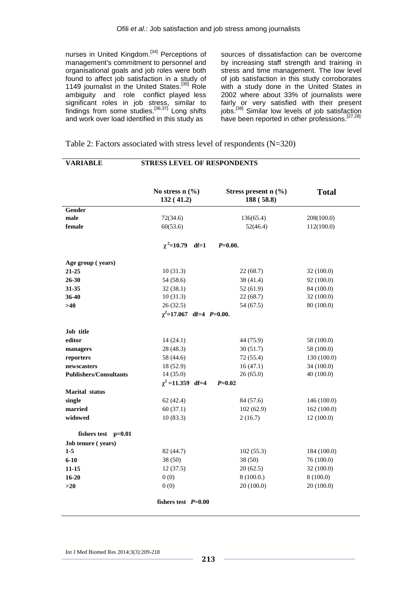nurses in United Kingdom.<sup>[34]</sup> Perceptions of management's commitment to personnel and organisational goals and job roles were both found to affect job satisfaction in a study of 1149 journalist in the United States.<sup>[35]</sup> Role ambiguity and role conflict played less significant roles in job stress, similar to findings from some studies.<sup>[36,37]</sup> Long shifts and work over load identified in this study as

sources of dissatisfaction can be overcome by increasing staff strength and training in stress and time management. The low level of job satisfaction in this study corroborates with a study done in the United States in 2002 where about 33% of journalists were fairly or very satisfied with their present jobs.<sup>[38]</sup> Similar low levels of job satisfaction .<br>have been reported in other professions.<sup>[27,28]</sup>

|                                 | No stress $n$ $(\%$<br>132(41.2) |        | Stress present $n$ (%)<br>188 (58.8) | <b>Total</b> |
|---------------------------------|----------------------------------|--------|--------------------------------------|--------------|
| <b>Gender</b>                   |                                  |        |                                      |              |
| male                            | 72(34.6)                         |        | 136(65.4)                            | 208(100.0)   |
| female                          | 60(53.6)                         |        | 52(46.4)                             | 112(100.0)   |
|                                 | $\chi^2$ =10.79                  | $df=1$ | $P=0.00.$                            |              |
| Age group (years)               |                                  |        |                                      |              |
| 21-25                           | 10(31.3)                         |        | 22(68.7)                             | 32 (100.0)   |
| 26-30                           | 54 (58.6)                        |        | 38 (41.4)                            | 92 (100.0)   |
| 31-35                           | 32(38.1)                         |        | 52(61.9)                             | 84 (100.0)   |
| 36-40                           | 10(31.3)                         |        | 22(68.7)                             | 32 (100.0)   |
| >40                             | 26(32.5)                         |        | 54 (67.5)                            | 80 (100.0)   |
|                                 | $\chi^2$ =17.067 df=4 P=0.00.    |        |                                      |              |
| Job title                       |                                  |        |                                      |              |
| editor                          | 14(24.1)                         |        | 44 (75.9)                            | 58 (100.0)   |
| managers                        | 28 (48.3)                        |        | 30(51.7)                             | 58 (100.0)   |
| reporters                       | 58 (44.6)                        |        | 72 (55.4)                            | 130 (100.0)  |
| newscasters                     | 18 (52.9)                        |        | 16(47.1)                             | 34(100.0)    |
| <b>Publishers/Consultants</b>   | 14(35.0)                         |        | 26(65.0)                             | 40(100.0)    |
|                                 | $\chi^2$ =11.359 df=4            |        | $P = 0.02$                           |              |
| <b>Marital</b> status<br>single | 62(42.4)                         |        | 84 (57.6)                            | 146 (100.0)  |
| married                         | 60(37.1)                         |        | 102(62.9)                            | 162(100.0)   |
| widowed                         | 10(83.3)                         |        | 2(16.7)                              | 12(100.0)    |
|                                 |                                  |        |                                      |              |
| fishers test $p=0.01$           |                                  |        |                                      |              |
| Job tenure (years)              |                                  |        |                                      |              |
| $1 - 5$                         | 82 (44.7)                        |        | 102(55.3)                            | 184 (100.0)  |
| $6 - 10$                        | 38 (50)                          |        | 38 (50)                              | 76 (100.0)   |
| 11-15                           | 12(37.5)                         |        | 20(62.5)                             | 32(100.0)    |
| $16 - 20$                       | 0(0)                             |        | 8(100.0.)                            | 8(100.0)     |
| >20                             | 0(0)                             |        | 20(100.0)                            | 20(100.0)    |
|                                 | fishers test $P=0.00$            |        |                                      |              |

Table 2: Factors associated with stress level of respondents (N=320)

**VARIABLE STRESS LEVEL OF RESPONDENTS**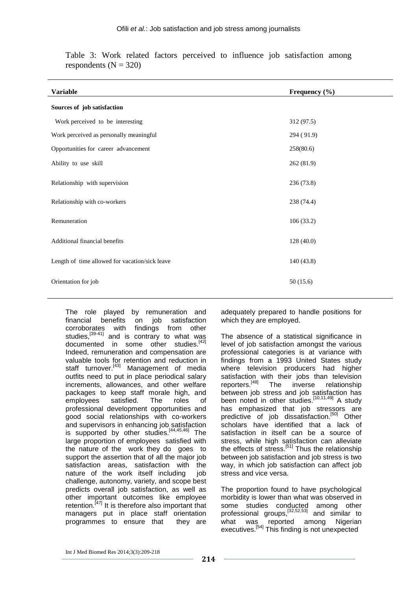| <b>Variable</b>                                | Frequency $(\% )$ |
|------------------------------------------------|-------------------|
| Sources of job satisfaction                    |                   |
| Work perceived to be interesting               | 312(97.5)         |
| Work perceived as personally meaningful        | 294 (91.9)        |
| Opportunities for career advancement           | 258(80.6)         |
| Ability to use skill                           | 262 (81.9)        |
| Relationship with supervision                  | 236 (73.8)        |
| Relationship with co-workers                   | 238 (74.4)        |
| Remuneration                                   | 106(33.2)         |
| Additional financial benefits                  | 128 (40.0)        |
| Length of time allowed for vacation/sick leave | 140(43.8)         |
| Orientation for job                            | 50(15.6)          |

Table 3: Work related factors perceived to influence job satisfaction among respondents  $(N = 320)$ 

The role played by remuneration and financial benefits on job satisfaction corroborates with findings from other studies, $\left[39-41\right]$  and is contrary to what was documented in some other studies. $^{[42]}$ Indeed, remuneration and compensation are valuable tools for retention and reduction in staff turnover.<sup>[43]</sup> Management of media outfits need to put in place periodical salary increments, allowances, and other welfare packages to keep staff morale high, and employees satisfied. The roles of professional development opportunities and good social relationships with co-workers and supervisors in enhancing job satisfaction is supported by other studies. $[44,45,46]$  The large proportion of employees satisfied with the nature of the work they do goes to support the assertion that of all the major job satisfaction areas, satisfaction with the nature of the work itself including iob challenge, autonomy, variety, and scope best predicts overall job satisfaction, as well as other important outcomes like employee retention. $[47]$  It is therefore also important that managers put in place staff orientation programmes to ensure that they are

adequately prepared to handle positions for which they are employed.

The absence of a statistical significance in level of job satisfaction amongst the various professional categories is at variance with findings from a 1993 United States study where television producers had higher satisfaction with their jobs than television reporters.[48] The inverse relationship between job stress and job satisfaction has been noted in other studies.<sup>[10,11,49]</sup> A study has emphasized that job stressors are predictive of job dissatisfaction.<sup>[50]</sup> Other scholars have identified that a lack of satisfaction in itself can be a source of stress, while high satisfaction can alleviate the effects of stress.<sup>[51]</sup> Thus the relationship between job satisfaction and job stress is two way, in which job satisfaction can affect job stress and vice versa.

The proportion found to have psychological morbidity is lower than what was observed in some studies conducted among other professional groups,[32,52,53] and similar to what was reported among Nigerian executives.<sup>[54]</sup> This finding is not unexpected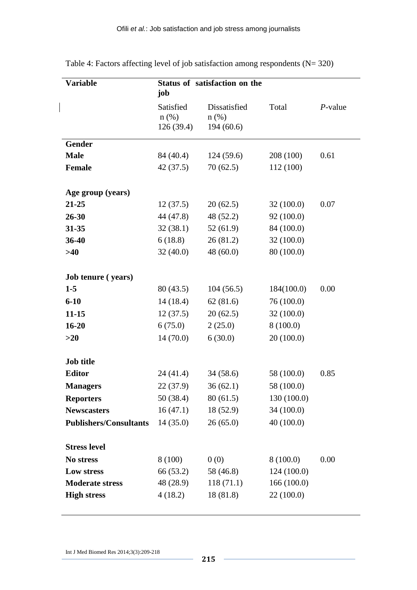| <b>Variable</b>               | job                               | Status of satisfaction on the        |             |            |
|-------------------------------|-----------------------------------|--------------------------------------|-------------|------------|
|                               | Satisfied<br>$n$ (%)<br>126(39.4) | Dissatisfied<br>$n$ (%)<br>194(60.6) | Total       | $P$ -value |
| Gender                        |                                   |                                      |             |            |
| <b>Male</b>                   | 84 (40.4)                         | 124(59.6)                            | 208 (100)   | 0.61       |
| <b>Female</b>                 | 42(37.5)                          | 70(62.5)                             | 112 (100)   |            |
| Age group (years)             |                                   |                                      |             |            |
| 21-25                         | 12(37.5)                          | 20(62.5)                             | 32(100.0)   | 0.07       |
| 26-30                         | 44 (47.8)                         | 48 (52.2)                            | 92 (100.0)  |            |
| 31-35                         | 32(38.1)                          | 52(61.9)                             | 84 (100.0)  |            |
| 36-40                         | 6(18.8)                           | 26(81.2)                             | 32 (100.0)  |            |
| >40                           | 32(40.0)                          | 48(60.0)                             | 80 (100.0)  |            |
|                               |                                   |                                      |             |            |
| <b>Job tenure</b> (years)     |                                   |                                      |             |            |
| $1 - 5$                       | 80(43.5)                          | 104(56.5)                            | 184(100.0)  | 0.00       |
| $6 - 10$                      | 14(18.4)                          | 62(81.6)                             | 76 (100.0)  |            |
| $11 - 15$                     | 12(37.5)                          | 20(62.5)                             | 32(100.0)   |            |
| $16 - 20$                     | 6(75.0)                           | 2(25.0)                              | 8(100.0)    |            |
| >20                           | 14(70.0)                          | 6(30.0)                              | 20(100.0)   |            |
| <b>Job title</b>              |                                   |                                      |             |            |
| <b>Editor</b>                 | 24 (41.4)                         | 34(58.6)                             | 58 (100.0)  | 0.85       |
| <b>Managers</b>               | 22(37.9)                          | 36(62.1)                             | 58 (100.0)  |            |
| <b>Reporters</b>              | 50 (38.4)                         | 80(61.5)                             | 130 (100.0) |            |
| <b>Newscasters</b>            | 16(47.1)                          | 18 (52.9)                            | 34 (100.0)  |            |
| <b>Publishers/Consultants</b> | 14(35.0)                          | 26(65.0)                             | 40(100.0)   |            |
| <b>Stress level</b>           |                                   |                                      |             |            |
| No stress                     | 8 (100)                           | 0(0)                                 | 8(100.0)    | 0.00       |
| Low stress                    | 66 (53.2)                         | 58 (46.8)                            | 124 (100.0) |            |
| <b>Moderate stress</b>        | 48 (28.9)                         | 118(71.1)                            | 166(100.0)  |            |
| <b>High stress</b>            | 4(18.2)                           | 18(81.8)                             | 22 (100.0)  |            |
|                               |                                   |                                      |             |            |

Table 4: Factors affecting level of job satisfaction among respondents (N= 320)

Int J Med Biomed Res 2014;3(3):209-218

 $\overline{\phantom{a}}$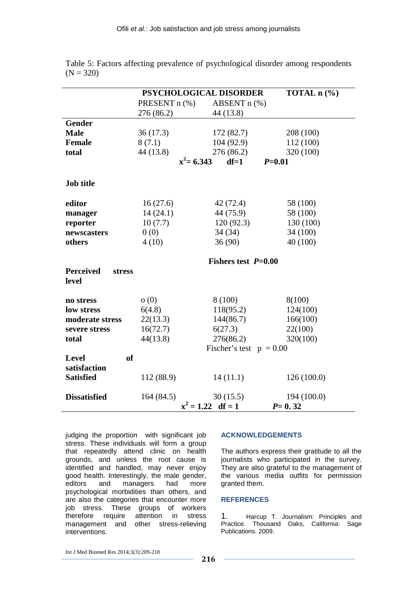|                                            |               | PSYCHOLOGICAL DISORDER    |             |
|--------------------------------------------|---------------|---------------------------|-------------|
|                                            | PRESENT n (%) | ABSENT $n$ $%$            |             |
|                                            | 276 (86.2)    | 44 (13.8)                 |             |
| <b>Gender</b>                              |               |                           |             |
| <b>Male</b>                                | 36(17.3)      | 172(82.7)                 | 208 (100)   |
| <b>Female</b>                              | 8(7.1)        | 104(92.9)                 | 112 (100)   |
| total                                      | 44 (13.8)     | 276(86.2)                 | 320 (100)   |
|                                            |               | $x^2$ = 6.343<br>$df=1$   | $P = 0.01$  |
| <b>Job title</b>                           |               |                           |             |
| editor                                     | 16(27.6)      | 42(72.4)                  | 58 (100)    |
| manager                                    | 14(24.1)      | 44 (75.9)                 | 58 (100)    |
| reporter                                   | 10(7.7)       | 120(92.3)                 | 130 (100)   |
| newscasters                                | 0(0)          | 34(34)                    | 34 (100)    |
| others                                     | 4(10)         | 36(90)                    | 40 (100)    |
|                                            |               | Fishers test $P=0.00$     |             |
| <b>Perceived</b><br><b>stress</b><br>level |               |                           |             |
| no stress                                  | o(0)          | 8(100)                    | 8(100)      |
| low stress                                 | 6(4.8)        | 118(95.2)                 | 124(100)    |
| moderate stress                            | 22(13.3)      | 144(86.7)                 | 166(100)    |
| severe stress                              | 16(72.7)      | 6(27.3)                   | 22(100)     |
| total                                      | 44(13.8)      | 276(86.2)                 | 320(100)    |
|                                            |               | Fischer's test $p = 0.00$ |             |
| Level                                      | <b>of</b>     |                           |             |
| satisfaction                               |               |                           |             |
| <b>Satisfied</b>                           | 112 (88.9)    | 14(11.1)                  | 126(100.0)  |
| <b>Dissatisfied</b>                        | 164 (84.5)    | 30(15.5)                  | 194 (100.0) |
|                                            |               | $x^2 = 1.22$ df = 1       | $P = 0.32$  |

Table 5: Factors affecting prevalence of psychological disorder among respondents  $(N = 320)$ 

judging the proportion with significant job stress. These individuals will form a group that repeatedly attend clinic on health grounds, and unless the root cause is identified and handled, may never enjoy good health. Interestingly, the male gender, editors and managers had more psychological morbidities than others, and are also the categories that encounter more job stress. These groups of workers therefore require attention in stress management and other stress-relieving interventions.

#### **ACKNOWLEDGEMENTS**

The authors express their gratitude to all the journalists who participated in the survey. They are also grateful to the management of the various media outfits for permission granted them.

#### **REFERENCES**

1. Harcup T. Journalism: Principles and Practice. Thousand Oaks, California: Sage Publications. 2009.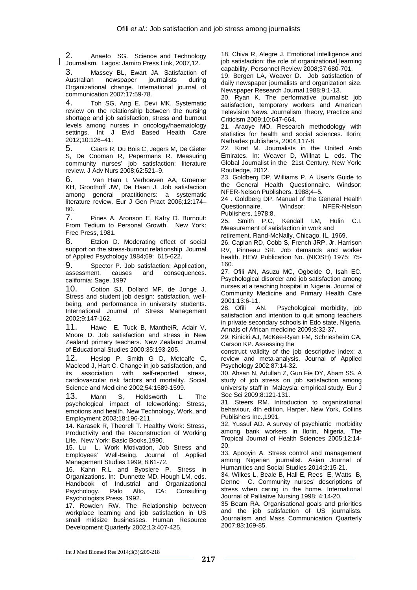2. Anaeto SG. Science and Technology Journalism. Lagos: Jamiro Press Link, 2007,12.

3. Massey BL, Ewart JA. Satisfaction of<br>Australian newspaper journalists during newspaper Organizational change. International journal of communication 2007;17:59-78.

4. Toh SG, Ang E, Devi MK. Systematic review on the relationship between the nursing shortage and job satisfaction, stress and burnout levels among nurses in oncology/haematology settings. Int J Evid Based Health Care 2012;10:126–41.

5. Caers R, Du Bois C, Jegers M, De Gieter S, De Cooman R, Pepermans R. Measuring community nurses' job satisfaction: literature review. J Adv Nurs 2008;62:521–9.

6. Van Ham I, Verhoeven AA, Groenier KH, Groothoff JW, De Haan J. Job satisfaction among general practitioners: a systematic literature review. Eur J Gen Pract 2006;12:174– 80.

7. Pines A, Aronson E, Kafry D. Burnout: From Tedium to Personal Growth. New York: Free Press, 1981.

8. Etzion D. Moderating effect of social support on the stress-burnout relationship. Journal of Applied Psychology 1984;69: 615-622.

9. Spector P. Job satisfaction: Application, assessment, causes and consequences. california: Sage, 1997

10. Cotton SJ, Dollard MF, de Jonge J. Stress and student job design: satisfaction, wellbeing, and performance in university students. International Journal of Stress Management 2002;9:147-162.

11. Hawe E, Tuck B, MantheiR, Adair V, Moore D. Job satisfaction and stress in New Zealand primary teachers. New Zealand Journal of Educational Studies 2000;35:193-205.

12. Heslop P, Smith G D, Metcalfe C, Macleod J, Hart C. Change in job satisfaction, and its association with self-reported stress, cardiovascular risk factors and mortality. Social Science and Medicine 2002;54:1589-1599.

13. Mann S, Holdsworth L. The psychological impact of teleworking: Stress, emotions and health. New Technology, Work, and Employment 2003;18:196-211.

14. Karasek R, Theorell T. Healthy Work: Stress, Productivity and the Reconstruction of Working Life. New York: Basic Books,1990.

15. Lu L. Work Motivation, Job Stress and Employees' Well-Being. Journal of Applied Management Studies 1999; 8:61-72.

16. Kahn R.L and Byosiere P. Stress in Organizations. In: Dunnette MD, Hough LM, eds. Handbook of Industrial and Organizational Psychology. Palo Alto, CA: Consulting Psychologists Press, 1992.

17. Rowden RW. The Relationship between workplace learning and job satisfaction in US small midsize businesses. Human Resource Development Quarterly 2002;13:407-425.

18. Chiva R, Alegre J. Emotional intelligence and job satisfaction: the role of organizational learning capability. Personnel Review 2008;37:680-701.

19. Bergen LA, Weaver D. Job satisfaction of daily newspaper journalists and organization size. Newspaper Research Journal 1988;9:1-13.

20. Ryan K. The performative journalist: job satisfaction, temporary workers and American Television News. Journalism Theory, Practice and Criticism 2009;10:647-664.

21. Araoye MO. Research methodology with statistics for health and social sciences. Ilorin: Nathadex publishers, 2004,117-8

22. Kirat M. Journalists in the United Arab Emirates. In: Weaver D, Willnat L. eds. The Global Journalist in the 21st Century. New York: Routledge, 2012.

23. Goldberg DP, Williams P. A User's Guide to the General Health Questionnaire. Windsor: NFER-Nelson Publishers, 1988;4–5.

24 . Goldberg DP. Manual of the General Health Questionnaire. Windsor: NFER-Nelson Publishers, 1978;8.

25. Smith P.C, Kendall I.M, Hulin C.I. Measurement of satisfaction in work and

retirement. Rand-McNally, Chicago, IL, 1969.

26. Caplan RD, Cobb S, French JRP, Jr. Harrison RV, Pinneau SR. Job demands and worker health. HEW Publication No. (NIOSH) 1975: 75- 160.

27. Ofili AN, Asuzu MC, Ogbeide O, Isah EC. Psychological disorder and job satisfaction among nurses at a teaching hospital in Nigeria. Journal of Community Medicine and Primary Health Care

2001;13:6-11. AN. Psychological morbidity, job satisfaction and intention to quit among teachers in private secondary schools in Edo state, Nigeria. Annals of African medicine 2009;8:32-37.

29. Kinicki AJ, McKee-Ryan FM, Schriesheim CA, Carson KP. Assessing the

construct validity of the job descriptive index: a review and meta-analysis. Journal of Applied Psychology 2002;87:14-32.

30. Ahsan N, Adullah Z, Gun Fie DY, Abam SS. A study of job stress on job satisfaction among university staff in Malaysia: empirical study. Eur J Soc Sci 2009;8:121-131.

31. Steers RM. Introduction to organizational behaviour, 4th edition, Harper, New York, Collins Publishers Inc.,1991.

32. Yussuf AD. A survey of psychiatric morbidity among bank workers in Ilorin, Nigeria. The Tropical Journal of Health Sciences 2005;12:14- 20.

33. Apooyin A. Stress control and management among Nigerian journalist. Asian Journal of Humanities and Social Studies 2014;2:15-21.

34. Wilkes L, Beale B, Hall E, Rees E, Watts B, Denne C. Community nurses' descriptions of stress when caring in the home. International Journal of Palliative Nursing 1998; 4:14-20.

35 Beam RA. Organisational goals and priorities and the job satisfaction of US journalists. Journalism and Mass Communication Quarterly 2007;83:169-85.